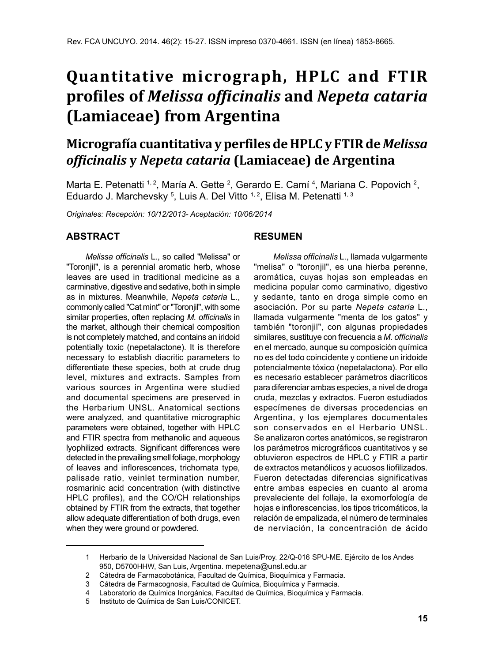# **Quantitative micrograph, HPLC and FTIR profiles of** *Melissa officinalis* **and** *Nepeta cataria* **(Lamiaceae) from Argentina**

# **Micrografía cuantitativa y perfiles de HPLC y FTIR de** *Melissa officinalis* **y** *Nepeta cataria* **(Lamiaceae) de Argentina**

Marta E. Petenatti  $1/2$ , María A. Gette  $2$ , Gerardo E. Camí  $4$ , Mariana C. Popovich  $2$ , Eduardo J. Marchevsky <sup>5</sup>, Luis A. Del Vitto <sup>1, 2</sup>, Elisa M. Petenatti <sup>1, 3</sup>

*Originales: Recepción: 10/12/2013- Aceptación: 10/06/2014*

#### **ABSTRACT**

*Melissa officinalis* L., so called "Melissa" or "Toronjil", is a perennial aromatic herb, whose leaves are used in traditional medicine as a carminative, digestive and sedative, both in simple as in mixtures. Meanwhile, *Nepeta cataria* L., commonly called "Cat mint" or "Toronjil", with some similar properties, often replacing *M. officinalis* in the market, although their chemical composition is not completely matched, and contains an iridoid potentially toxic (nepetalactone). It is therefore necessary to establish diacritic parameters to differentiate these species, both at crude drug level, mixtures and extracts. Samples from various sources in Argentina were studied and documental specimens are preserved in the Herbarium UNSL. Anatomical sections were analyzed, and quantitative micrographic parameters were obtained, together with HPLC and FTIR spectra from methanolic and aqueous lyophilized extracts. Significant differences were detected in the prevailing smell foliage, morphology of leaves and inflorescences, trichomata type, palisade ratio, veinlet termination number, rosmarinic acid concentration (with distinctive HPLC profiles), and the CO/CH relationships obtained by FTIR from the extracts, that together allow adequate differentiation of both drugs, even when they were ground or powdered.

#### **RESUMEN**

*Melissa officinalis* L., llamada vulgarmente "melisa" o "toronjil", es una hierba perenne, aromática, cuyas hojas son empleadas en medicina popular como carminativo, digestivo y sedante, tanto en droga simple como en asociación. Por su parte *Nepeta cataria* L., llamada vulgarmente "menta de los gatos" y también "toronjil", con algunas propiedades similares, sustituye con frecuencia a *M. officinalis* en el mercado, aunque su composición química no es del todo coincidente y contiene un iridoide potencialmente tóxico (nepetalactona). Por ello es necesario establecer parámetros diacríticos para diferenciar ambas especies, a nivel de droga cruda, mezclas y extractos. Fueron estudiados especímenes de diversas procedencias en Argentina, y los ejemplares documentales son conservados en el Herbario UNSL. Se analizaron cortes anatómicos, se registraron los parámetros micrográficos cuantitativos y se obtuvieron espectros de HPLC y FTIR a partir de extractos metanólicos y acuosos liofilizados. Fueron detectadas diferencias significativas entre ambas especies en cuanto al aroma prevaleciente del follaje, la exomorfología de hojas e inflorescencias, los tipos tricomáticos, la relación de empalizada, el número de terminales de nerviación, la concentración de ácido

<sup>1</sup> Herbario de la Universidad Nacional de San Luis/Proy. 22/Q-016 SPU-ME. Ejército de los Andes 950, D5700HHW, San Luis, Argentina. mepetena@unsl.edu.ar

<sup>2</sup> Cátedra de Farmacobotánica, Facultad de Química, Bioquímica y Farmacia.

<sup>3</sup> Cátedra de Farmacognosia, Facultad de Química, Bioquímica y Farmacia.

<sup>4</sup> Laboratorio de Química Inorgánica, Facultad de Química, Bioquímica y Farmacia.

<sup>5</sup> Instituto de Química de San Luis/CONICET.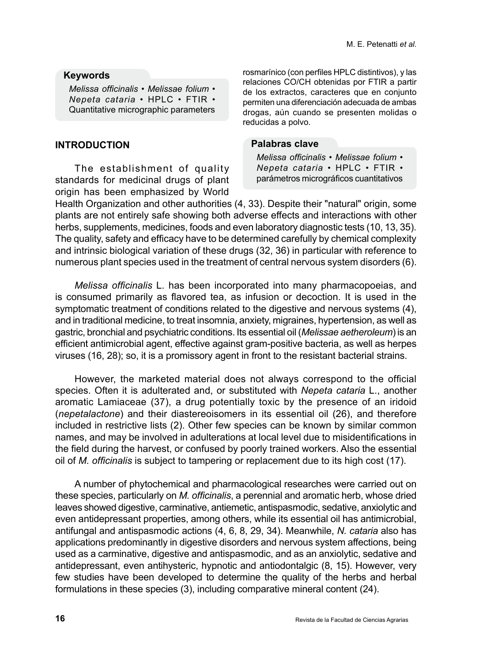## **Keywords**

*Melissa officinalis* • *Melissae folium* • *Nepeta cataria* • HPLC • FTIR • Quantitative micrographic parameters

# **INTRODUCTION**

The establishment of quality standards for medicinal drugs of plant origin has been emphasized by World rosmarínico (con perfiles HPLC distintivos), y las relaciones CO/CH obtenidas por FTIR a partir de los extractos, caracteres que en conjunto permiten una diferenciación adecuada de ambas drogas, aún cuando se presenten molidas o reducidas a polvo.

## **Palabras clave**

*Melissa officinalis* • *Melissae folium* • *Nepeta cataria* • HPLC • FTIR • parámetros micrográficos cuantitativos

Health Organization and other authorities (4, 33). Despite their "natural" origin, some plants are not entirely safe showing both adverse effects and interactions with other herbs, supplements, medicines, foods and even laboratory diagnostic tests (10, 13, 35). The quality, safety and efficacy have to be determined carefully by chemical complexity and intrinsic biological variation of these drugs (32, 36) in particular with reference to numerous plant species used in the treatment of central nervous system disorders (6).

*Melissa officinalis* L. has been incorporated into many pharmacopoeias, and is consumed primarily as flavored tea, as infusion or decoction. It is used in the symptomatic treatment of conditions related to the digestive and nervous systems (4), and in traditional medicine, to treat insomnia, anxiety, migraines, hypertension, as well as gastric, bronchial and psychiatric conditions. Its essential oil (*Melissae aetheroleum*) is an efficient antimicrobial agent, effective against gram-positive bacteria, as well as herpes viruses (16, 28); so, it is a promissory agent in front to the resistant bacterial strains.

However, the marketed material does not always correspond to the official species. Often it is adulterated and, or substituted with *Nepeta cataria* L., another aromatic Lamiaceae (37), a drug potentially toxic by the presence of an iridoid (*nepetalactone*) and their diastereoisomers in its essential oil (26), and therefore included in restrictive lists (2). Other few species can be known by similar common names, and may be involved in adulterations at local level due to misidentifications in the field during the harvest, or confused by poorly trained workers. Also the essential oil of *M. officinalis* is subject to tampering or replacement due to its high cost (17).

A number of phytochemical and pharmacological researches were carried out on these species, particularly on *M. officinalis*, a perennial and aromatic herb, whose dried leaves showed digestive, carminative, antiemetic, antispasmodic, sedative, anxiolytic and even antidepressant properties, among others, while its essential oil has antimicrobial, antifungal and antispasmodic actions (4, 6, 8, 29, 34). Meanwhile, *N. cataria* also has applications predominantly in digestive disorders and nervous system affections, being used as a carminative, digestive and antispasmodic, and as an anxiolytic, sedative and antidepressant, even antihysteric, hypnotic and antiodontalgic (8, 15). However, very few studies have been developed to determine the quality of the herbs and herbal formulations in these species (3), including comparative mineral content (24).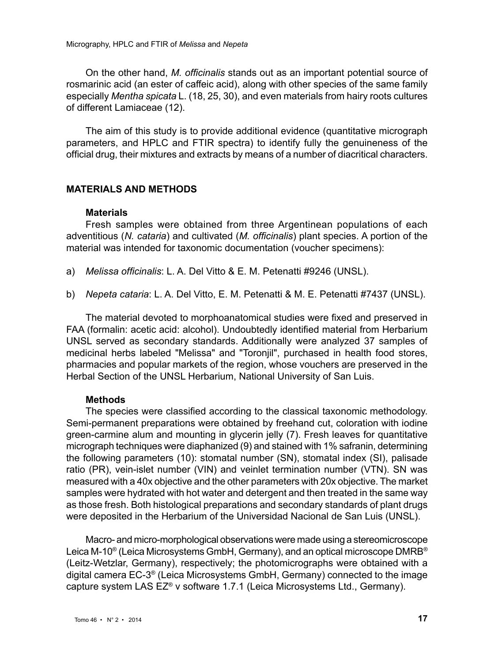On the other hand, *M. officinalis* stands out as an important potential source of rosmarinic acid (an ester of caffeic acid), along with other species of the same family especially *Mentha spicata* L. (18, 25, 30), and even materials from hairy roots cultures of different Lamiaceae (12).

The aim of this study is to provide additional evidence (quantitative micrograph parameters, and HPLC and FTIR spectra) to identify fully the genuineness of the official drug, their mixtures and extracts by means of a number of diacritical characters.

# **MATERIALS AND METHODS**

#### **Materials**

Fresh samples were obtained from three Argentinean populations of each adventitious (*N. cataria*) and cultivated (*M. officinalis*) plant species. A portion of the material was intended for taxonomic documentation (voucher specimens):

- a) *Melissa officinalis*: L. A. Del Vitto & E. M. Petenatti #9246 (UNSL).
- b) *Nepeta cataria*: L. A. Del Vitto, E. M. Petenatti & M. E. Petenatti #7437 (UNSL).

The material devoted to morphoanatomical studies were fixed and preserved in FAA (formalin: acetic acid: alcohol). Undoubtedly identified material from Herbarium UNSL served as secondary standards. Additionally were analyzed 37 samples of medicinal herbs labeled "Melissa" and "Toronjil", purchased in health food stores, pharmacies and popular markets of the region, whose vouchers are preserved in the Herbal Section of the UNSL Herbarium, National University of San Luis.

#### **Methods**

The species were classified according to the classical taxonomic methodology. Semi-permanent preparations were obtained by freehand cut, coloration with iodine green-carmine alum and mounting in glycerin jelly (7). Fresh leaves for quantitative micrograph techniques were diaphanized (9) and stained with 1% safranin, determining the following parameters (10): stomatal number (SN), stomatal index (SI), palisade ratio (PR), vein-islet number (VIN) and veinlet termination number (VTN). SN was measured with a 40x objective and the other parameters with 20x objective. The market samples were hydrated with hot water and detergent and then treated in the same way as those fresh. Both histological preparations and secondary standards of plant drugs were deposited in the Herbarium of the Universidad Nacional de San Luis (UNSL).

Macro- and micro-morphological observations were made using a stereomicroscope Leica M-10® (Leica Microsystems GmbH, Germany), and an optical microscope DMRB® (Leitz-Wetzlar, Germany), respectively; the photomicrographs were obtained with a digital camera EC-3® (Leica Microsystems GmbH, Germany) connected to the image capture system LAS EZ® v software 1.7.1 (Leica Microsystems Ltd., Germany).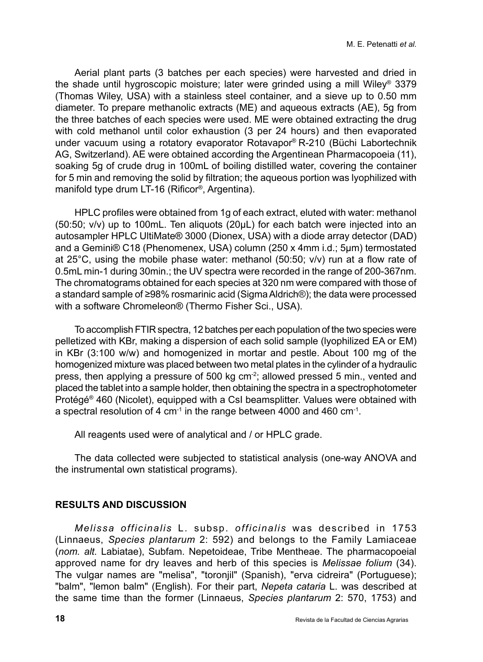Aerial plant parts (3 batches per each species) were harvested and dried in the shade until hygroscopic moisture; later were grinded using a mill Wiley® 3379 (Thomas Wiley, USA) with a stainless steel container, and a sieve up to 0.50 mm diameter. To prepare methanolic extracts (ME) and aqueous extracts (AE), 5g from the three batches of each species were used. ME were obtained extracting the drug with cold methanol until color exhaustion (3 per 24 hours) and then evaporated under vacuum using a rotatory evaporator Rotavapor® R-210 (Büchi Labortechnik AG, Switzerland). AE were obtained according the Argentinean Pharmacopoeia (11), soaking 5g of crude drug in 100mL of boiling distilled water, covering the container for 5 min and removing the solid by filtration; the aqueous portion was lyophilized with manifold type drum LT-16 (Rificor®, Argentina).

HPLC profiles were obtained from 1g of each extract, eluted with water: methanol (50:50; v/v) up to 100mL. Ten aliquots (20µL) for each batch were injected into an autosampler HPLC UltiMate® 3000 (Dionex, USA) with a diode array detector (DAD) and a Gemini® C18 (Phenomenex, USA) column (250 x 4mm i.d.; 5µm) termostated at 25°C, using the mobile phase water: methanol (50:50; v/v) run at a flow rate of 0.5mL min-1 during 30min.; the UV spectra were recorded in the range of 200-367nm. The chromatograms obtained for each species at 320 nm were compared with those of a standard sample of ≥98% rosmarinic acid (Sigma Aldrich®); the data were processed with a software Chromeleon® (Thermo Fisher Sci., USA).

To accomplish FTIR spectra, 12 batches per each population of the two species were pelletized with KBr, making a dispersion of each solid sample (lyophilized EA or EM) in KBr (3:100 w/w) and homogenized in mortar and pestle. About 100 mg of the homogenized mixture was placed between two metal plates in the cylinder of a hydraulic press, then applying a pressure of 500 kg cm-2; allowed pressed 5 min., vented and placed the tablet into a sample holder, then obtaining the spectra in a spectrophotometer Protégé® 460 (Nicolet), equipped with a CsI beamsplitter. Values were obtained with a spectral resolution of 4 cm<sup>-1</sup> in the range between 4000 and 460 cm<sup>-1</sup>.

All reagents used were of analytical and / or HPLC grade.

The data collected were subjected to statistical analysis (one-way ANOVA and the instrumental own statistical programs).

# **RESULTS AND DISCUSSION**

*Melissa officinalis* L. subsp. *officinalis* was described in 1753 (Linnaeus, *Species plantarum* 2: 592) and belongs to the Family Lamiaceae (*nom. alt.* Labiatae), Subfam. Nepetoideae, Tribe Mentheae. The pharmacopoeial approved name for dry leaves and herb of this species is *Melissae folium* (34). The vulgar names are "melisa", "toronjil" (Spanish), "erva cidreira" (Portuguese); "balm", "lemon balm" (English). For their part, *Nepeta cataria* L. was described at the same time than the former (Linnaeus, *Species plantarum* 2: 570, 1753) and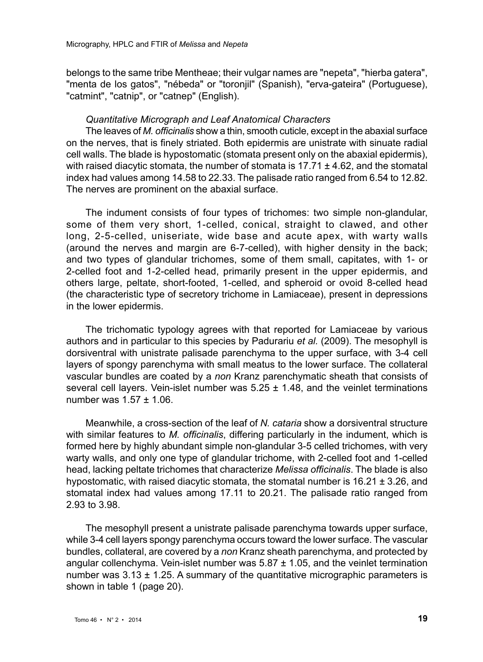belongs to the same tribe Mentheae; their vulgar names are "nepeta", "hierba gatera", "menta de los gatos", "nébeda" or "toronjil" (Spanish), "erva-gateira" (Portuguese), "catmint", "catnip", or "catnep" (English).

#### *Quantitative Micrograph and Leaf Anatomical Characters*

The leaves of *M. officinalis* show a thin, smooth cuticle, except in the abaxial surface on the nerves, that is finely striated. Both epidermis are unistrate with sinuate radial cell walls. The blade is hypostomatic (stomata present only on the abaxial epidermis), with raised diacytic stomata, the number of stomata is  $17.71 \pm 4.62$ , and the stomatal index had values among 14.58 to 22.33. The palisade ratio ranged from 6.54 to 12.82. The nerves are prominent on the abaxial surface.

The indument consists of four types of trichomes: two simple non-glandular, some of them very short, 1-celled, conical, straight to clawed, and other long, 2-5-celled, uniseriate, wide base and acute apex, with warty walls (around the nerves and margin are 6-7-celled), with higher density in the back; and two types of glandular trichomes, some of them small, capitates, with 1- or 2-celled foot and 1-2-celled head, primarily present in the upper epidermis, and others large, peltate, short-footed, 1-celled, and spheroid or ovoid 8-celled head (the characteristic type of secretory trichome in Lamiaceae), present in depressions in the lower epidermis.

The trichomatic typology agrees with that reported for Lamiaceae by various authors and in particular to this species by Padurariu *et al.* (2009). The mesophyll is dorsiventral with unistrate palisade parenchyma to the upper surface, with 3-4 cell layers of spongy parenchyma with small meatus to the lower surface. The collateral vascular bundles are coated by a *non* Kranz parenchymatic sheath that consists of several cell layers. Vein-islet number was  $5.25 \pm 1.48$ , and the veinlet terminations number was 1.57 ± 1.06.

Meanwhile, a cross-section of the leaf of *N. cataria* show a dorsiventral structure with similar features to *M. officinalis*, differing particularly in the indument, which is formed here by highly abundant simple non-glandular 3-5 celled trichomes, with very warty walls, and only one type of glandular trichome, with 2-celled foot and 1-celled head, lacking peltate trichomes that characterize *Melissa officinalis*. The blade is also hypostomatic, with raised diacytic stomata, the stomatal number is 16.21 ± 3.26, and stomatal index had values among 17.11 to 20.21. The palisade ratio ranged from 2.93 to 3.98.

The mesophyll present a unistrate palisade parenchyma towards upper surface, while 3-4 cell layers spongy parenchyma occurs toward the lower surface. The vascular bundles, collateral, are covered by a *non* Kranz sheath parenchyma, and protected by angular collenchyma. Vein-islet number was  $5.87 \pm 1.05$ , and the veinlet termination number was  $3.13 \pm 1.25$ . A summary of the quantitative micrographic parameters is shown in table 1 (page 20).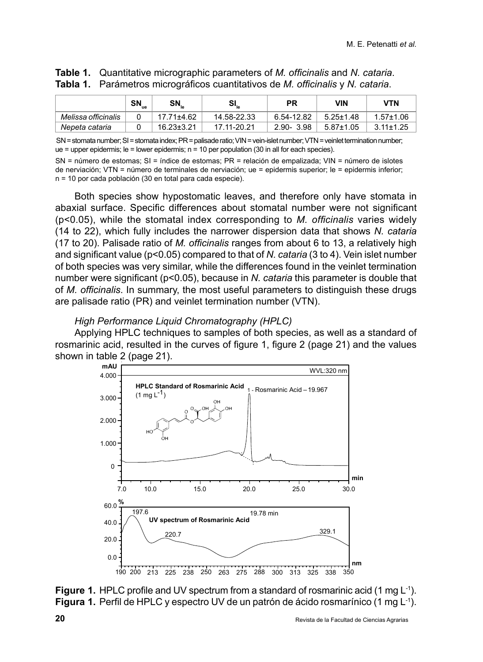|                     | ้ SN <sub>ue</sub> | $SN_{\text{le}}$ | $SI_{_{\mathrm{le}}}$ | РR            | VIN             | VTN             |
|---------------------|--------------------|------------------|-----------------------|---------------|-----------------|-----------------|
| Melissa officinalis |                    | $17.71 \pm 4.62$ | 14.58-22.33           | 6.54-12.82    | $5.25 \pm 1.48$ | $1.57 + 1.06$   |
| Nepeta cataria      |                    | $16.23 \pm 3.21$ | 17.11-20.21           | $2.90 - 3.98$ | $5.87 \pm 1.05$ | $3.11 \pm 1.25$ |

# **Table 1.** Quantitative micrographic parameters of *M. officinalis* and *N. cataria*. **Tabla 1.** Parámetros micrográficos cuantitativos de *M. officinalis* y *N. cataria*.

SN = stomata number; SI = stomata index; PR = palisade ratio; VIN = vein-islet number; VTN =veinletterminationnumber; ue = upper epidermis; le = lower epidermis; n = 10 per population (30 in all for each species).

SN = número de estomas; SI = índice de estomas; PR = relación de empalizada; VIN = número de islotes de nerviación; VTN = número de terminales de nerviación; ue = epidermis superior; le = epidermis inferior; n = 10 por cada población (30 en total para cada especie).

Both species show hypostomatic leaves, and therefore only have stomata in abaxial surface. Specific differences about stomatal number were not significant (p<0.05), while the stomatal index corresponding to *M. officinalis* varies widely (14 to 22), which fully includes the narrower dispersion data that shows *N. cataria* (17 to 20). Palisade ratio of *M. officinalis* ranges from about 6 to 13, a relatively high and significant value (p<0.05) compared to that of *N. cataria* (3 to 4). Vein islet number of both species was very similar, while the differences found in the veinlet termination number were significant (p<0.05), because in *N. cataria* this parameter is double that of *M. officinalis*. In summary, the most useful parameters to distinguish these drugs are palisade ratio (PR) and veinlet termination number (VTN).

# *High Performance Liquid Chromatography (HPLC)*

Applying HPLC techniques to samples of both species, as well as a standard of rosmarinic acid, resulted in the curves of figure 1, figure 2 (page 21) and the values shown in table 2 (page 21).



**Figure 1.** HPLC profile and UV spectrum from a standard of rosmarinic acid (1 mg L<sup>-1</sup>). **Figura 1.** Perfil de HPLC y espectro UV de un patrón de ácido rosmarínico (1 mg L<sup>-1</sup>).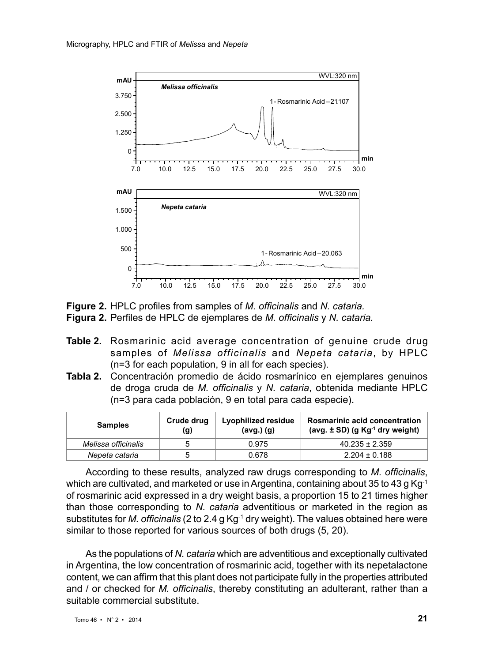

**Figure 2.** HPLC profiles from samples of *M. officinalis* and *N. cataria.* **Figura 2.** Perfiles de HPLC de ejemplares de *M. officinalis* y *N. cataria.*

- **Table 2.** Rosmarinic acid average concentration of genuine crude drug samples of *Melissa officinalis* and *Nepeta cataria*, by HPLC (n=3 for each population, 9 in all for each species).
- **Tabla 2.** Concentración promedio de ácido rosmarínico en ejemplares genuinos de droga cruda de *M. officinalis* y *N. cataria*, obtenida mediante HPLC (n=3 para cada población, 9 en total para cada especie).

| <b>Samples</b>      | Crude drug<br>(g) | Lyophilized residue<br>$(avg.)$ $(g)$ | <b>Rosmarinic acid concentration</b><br>(avg. $\pm$ SD) (g Kg <sup>-1</sup> dry weight) |
|---------------------|-------------------|---------------------------------------|-----------------------------------------------------------------------------------------|
| Melissa officinalis |                   | 0.975                                 | $40.235 \pm 2.359$                                                                      |
| Nepeta cataria      |                   | 0.678                                 | $2.204 \pm 0.188$                                                                       |

According to these results, analyzed raw drugs corresponding to *M. officinalis*, which are cultivated, and marketed or use in Argentina, containing about 35 to 43 g Kg<sup>-1</sup> of rosmarinic acid expressed in a dry weight basis, a proportion 15 to 21 times higher than those corresponding to *N. cataria* adventitious or marketed in the region as substitutes for *M. officinalis* (2 to 2.4 g Kg-1 dry weight). The values obtained here were similar to those reported for various sources of both drugs (5, 20).

As the populations of *N. cataria* which are adventitious and exceptionally cultivated in Argentina, the low concentration of rosmarinic acid, together with its nepetalactone content, we can affirm that this plant does not participate fully in the properties attributed and / or checked for *M. officinalis*, thereby constituting an adulterant, rather than a suitable commercial substitute.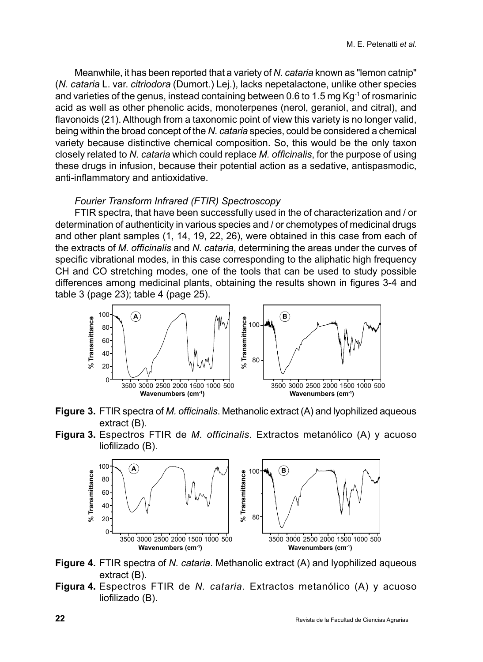Meanwhile, it has been reported that a variety of *N. cataria* known as "lemon catnip" (*N. cataria* L. var. *citriodora* (Dumort.) Lej.), lacks nepetalactone, unlike other species and varieties of the genus, instead containing between 0.6 to 1.5 mg Kg-1 of rosmarinic acid as well as other phenolic acids, monoterpenes (nerol, geraniol, and citral), and flavonoids (21). Although from a taxonomic point of view this variety is no longer valid. being within the broad concept of the *N. cataria* species, could be considered a chemical variety because distinctive chemical composition. So, this would be the only taxon closely related to *N. cataria* which could replace *M. officinalis*, for the purpose of using these drugs in infusion, because their potential action as a sedative, antispasmodic, anti-inflammatory and antioxidative.

# *Fourier Transform Infrared (FTIR) Spectroscopy*

FTIR spectra, that have been successfully used in the of characterization and / or determination of authenticity in various species and / or chemotypes of medicinal drugs and other plant samples (1, 14, 19, 22, 26), were obtained in this case from each of the extracts of *M. officinalis* and *N. cataria*, determining the areas under the curves of specific vibrational modes, in this case corresponding to the aliphatic high frequency CH and CO stretching modes, one of the tools that can be used to study possible differences among medicinal plants, obtaining the results shown in figures 3-4 and table 3 (page 23); table 4 (page 25).



- **Figure 3.** FTIR spectra of *M. officinalis*. Methanolic extract (A) and lyophilized aqueous extract (B).
- **Figura 3.** Espectros FTIR de *M. officinalis*. Extractos metanólico (A) y acuoso liofilizado (B).



- **Figure 4.** FTIR spectra of *N. cataria*. Methanolic extract (A) and lyophilized aqueous extract (B).
- **Figura 4.** Espectros FTIR de *N. cataria*. Extractos metanólico (A) y acuoso liofilizado (B).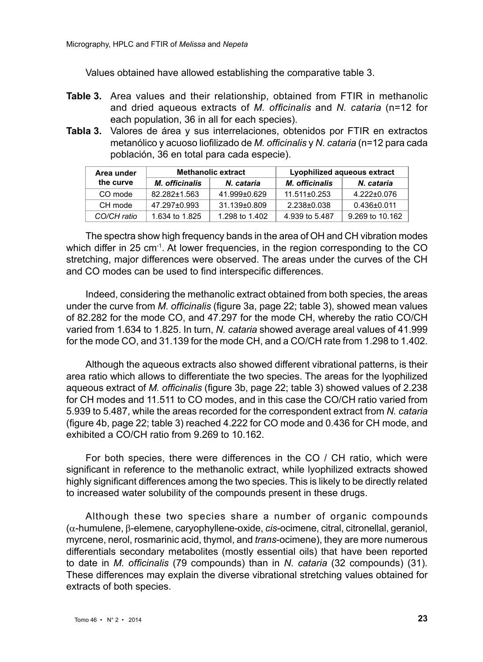Values obtained have allowed establishing the comparative table 3.

- **Table 3.** Area values and their relationship, obtained from FTIR in methanolic and dried aqueous extracts of *M. officinalis* and *N. cataria* (n=12 for each population, 36 in all for each species).
- **Tabla 3.** Valores de área y sus interrelaciones, obtenidos por FTIR en extractos metanólico y acuoso liofilizado de *M. officinalis* y *N. cataria* (n=12 para cada población, 36 en total para cada especie).

| Area under  |                | <b>Methanolic extract</b> | Lyophilized aqueous extract |                 |  |
|-------------|----------------|---------------------------|-----------------------------|-----------------|--|
| the curve   | M. officinalis | N. cataria                | M. officinalis              | N. cataria      |  |
| CO mode     | 82.282±1.563   | 41.999±0.629              | $11.511\pm0.253$            | 4.222±0.076     |  |
| CH mode     | 47.297±0.993   | 31.139±0.809              | 2.238±0.038                 | $0.436\pm0.011$ |  |
| CO/CH ratio | 1.634 to 1.825 | 1.298 to 1.402            | 4.939 to 5.487              | 9.269 to 10.162 |  |

The spectra show high frequency bands in the area of OH and CH vibration modes which differ in 25  $cm<sup>-1</sup>$ . At lower frequencies, in the region corresponding to the CO stretching, major differences were observed. The areas under the curves of the CH and CO modes can be used to find interspecific differences.

Indeed, considering the methanolic extract obtained from both species, the areas under the curve from *M. officinalis* (figure 3a, page 22; table 3), showed mean values of 82.282 for the mode CO, and 47.297 for the mode CH, whereby the ratio CO/CH varied from 1.634 to 1.825. In turn, *N. cataria* showed average areal values of 41.999 for the mode CO, and 31.139 for the mode CH, and a CO/CH rate from 1.298 to 1.402.

Although the aqueous extracts also showed different vibrational patterns, is their area ratio which allows to differentiate the two species. The areas for the lyophilized aqueous extract of *M. officinalis* (figure 3b, page 22; table 3) showed values of 2.238 for CH modes and 11.511 to CO modes, and in this case the CO/CH ratio varied from 5.939 to 5.487, while the areas recorded for the correspondent extract from *N. cataria* (figure 4b, page 22; table 3) reached 4.222 for CO mode and 0.436 for CH mode, and exhibited a CO/CH ratio from 9.269 to 10.162.

For both species, there were differences in the CO / CH ratio, which were significant in reference to the methanolic extract, while lyophilized extracts showed highly significant differences among the two species. This is likely to be directly related to increased water solubility of the compounds present in these drugs.

Although these two species share a number of organic compounds (α-humulene, β-elemene, caryophyllene-oxide, *cis*-ocimene, citral, citronellal, geraniol, myrcene, nerol, rosmarinic acid, thymol, and *trans*-ocimene), they are more numerous differentials secondary metabolites (mostly essential oils) that have been reported to date in *M. officinalis* (79 compounds) than in *N. cataria* (32 compounds) (31). These differences may explain the diverse vibrational stretching values obtained for extracts of both species.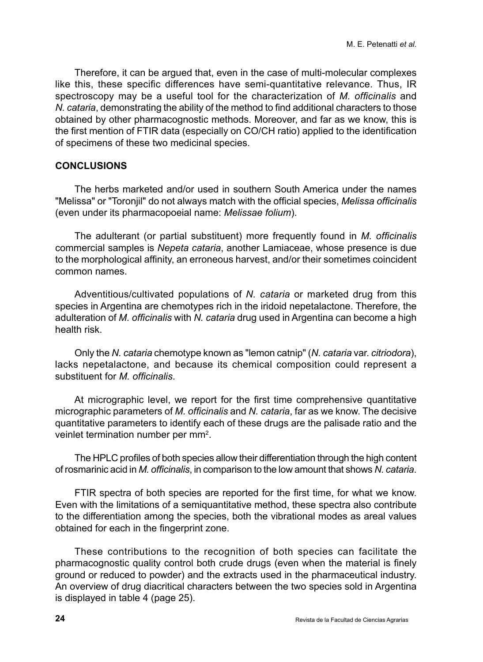Therefore, it can be argued that, even in the case of multi-molecular complexes like this, these specific differences have semi-quantitative relevance. Thus, IR spectroscopy may be a useful tool for the characterization of *M. officinalis* and *N. cataria*, demonstrating the ability of the method to find additional characters to those obtained by other pharmacognostic methods. Moreover, and far as we know, this is the first mention of FTIR data (especially on CO/CH ratio) applied to the identification of specimens of these two medicinal species.

# **CONCLUSIONS**

The herbs marketed and/or used in southern South America under the names "Melissa" or "Toronjil" do not always match with the official species, *Melissa officinalis* (even under its pharmacopoeial name: *Melissae folium*).

The adulterant (or partial substituent) more frequently found in *M. officinalis* commercial samples is *Nepeta cataria*, another Lamiaceae, whose presence is due to the morphological affinity, an erroneous harvest, and/or their sometimes coincident common names.

Adventitious/cultivated populations of *N. cataria* or marketed drug from this species in Argentina are chemotypes rich in the iridoid nepetalactone. Therefore, the adulteration of *M. officinalis* with *N. cataria* drug used in Argentina can become a high health risk.

Only the *N. cataria* chemotype known as "lemon catnip" (*N. cataria* var. *citriodora*), lacks nepetalactone, and because its chemical composition could represent a substituent for *M. officinalis*.

At micrographic level, we report for the first time comprehensive quantitative micrographic parameters of *M. officinalis* and *N. cataria*, far as we know. The decisive quantitative parameters to identify each of these drugs are the palisade ratio and the veinlet termination number per mm<sup>2</sup>.

The HPLC profiles of both species allow their differentiation through the high content of rosmarinic acid in *M. officinalis*, in comparison to the low amount that shows *N. cataria*.

FTIR spectra of both species are reported for the first time, for what we know. Even with the limitations of a semiquantitative method, these spectra also contribute to the differentiation among the species, both the vibrational modes as areal values obtained for each in the fingerprint zone.

These contributions to the recognition of both species can facilitate the pharmacognostic quality control both crude drugs (even when the material is finely ground or reduced to powder) and the extracts used in the pharmaceutical industry. An overview of drug diacritical characters between the two species sold in Argentina is displayed in table 4 (page 25).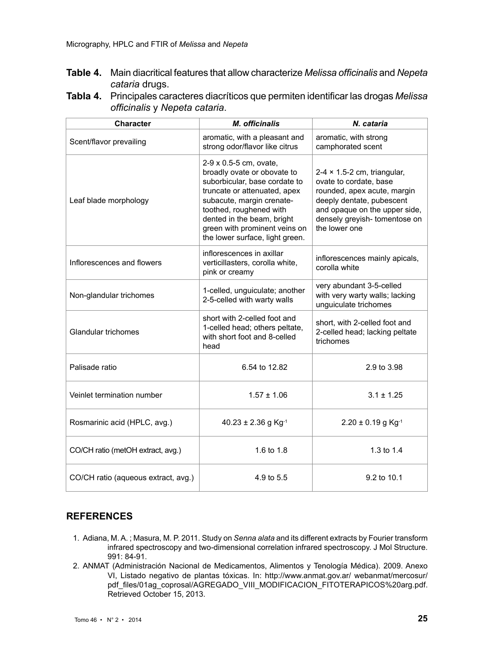- **Table 4.** Main diacritical features that allow characterize *Melissa officinalis* and *Nepeta cataria* drugs.
- **Tabla 4.** Principales caracteres diacríticos que permiten identificar las drogas *Melissa officinalis* y *Nepeta cataria*.

| Character                           | M. officinalis                                                                                                                                                                                                                                                                   | N. cataria                                                                                                                                                                                                 |
|-------------------------------------|----------------------------------------------------------------------------------------------------------------------------------------------------------------------------------------------------------------------------------------------------------------------------------|------------------------------------------------------------------------------------------------------------------------------------------------------------------------------------------------------------|
| Scent/flavor prevailing             | aromatic, with a pleasant and<br>strong odor/flavor like citrus                                                                                                                                                                                                                  | aromatic, with strong<br>camphorated scent                                                                                                                                                                 |
| Leaf blade morphology               | 2-9 x 0.5-5 cm, ovate,<br>broadly ovate or obovate to<br>suborbicular, base cordate to<br>truncate or attenuated, apex<br>subacute, margin crenate-<br>toothed, roughened with<br>dented in the beam, bright<br>green with prominent veins on<br>the lower surface, light green. | $2-4 \times 1.5-2$ cm, triangular,<br>ovate to cordate, base<br>rounded, apex acute, margin<br>deeply dentate, pubescent<br>and opaque on the upper side,<br>densely grevish-tomentose on<br>the lower one |
| Inflorescences and flowers          | inflorescences in axillar<br>verticillasters, corolla white,<br>pink or creamy                                                                                                                                                                                                   | inflorescences mainly apicals,<br>corolla white                                                                                                                                                            |
| Non-glandular trichomes             | 1-celled, unguiculate; another<br>2-5-celled with warty walls                                                                                                                                                                                                                    | very abundant 3-5-celled<br>with very warty walls; lacking<br>unguiculate trichomes                                                                                                                        |
| <b>Glandular trichomes</b>          | short with 2-celled foot and<br>1-celled head; others peltate,<br>with short foot and 8-celled<br>head                                                                                                                                                                           | short, with 2-celled foot and<br>2-celled head; lacking peltate<br>trichomes                                                                                                                               |
| Palisade ratio                      | 6.54 to 12.82                                                                                                                                                                                                                                                                    | 2.9 to 3.98                                                                                                                                                                                                |
| Veinlet termination number          | $1.57 \pm 1.06$                                                                                                                                                                                                                                                                  | $3.1 \pm 1.25$                                                                                                                                                                                             |
| Rosmarinic acid (HPLC, avg.)        | $40.23 \pm 2.36$ g Kg <sup>-1</sup>                                                                                                                                                                                                                                              | $2.20 \pm 0.19$ g Kg <sup>-1</sup>                                                                                                                                                                         |
| CO/CH ratio (metOH extract, avg.)   | 1.6 to 1.8                                                                                                                                                                                                                                                                       | 1.3 to 1.4                                                                                                                                                                                                 |
| CO/CH ratio (aqueous extract, avg.) | 4.9 to 5.5                                                                                                                                                                                                                                                                       | 9.2 to 10.1                                                                                                                                                                                                |

# **REFERENCES**

- 1. Adiana, M. A. ; Masura, M. P. 2011. Study on *Senna alata* and its different extracts by Fourier transform infrared spectroscopy and two-dimensional correlation infrared spectroscopy. J Mol Structure. 991: 84-91.
- 2. ANMAT (Administración Nacional de Medicamentos, Alimentos y Tenología Médica). 2009. Anexo VI, Listado negativo de plantas tóxicas. In: http://www.anmat.gov.ar/ webanmat/mercosur/ pdf\_files/01ag\_coprosal/AGREGADO\_VIII\_MODIFICACION\_FITOTERAPICOS%20arg.pdf. Retrieved October 15, 2013.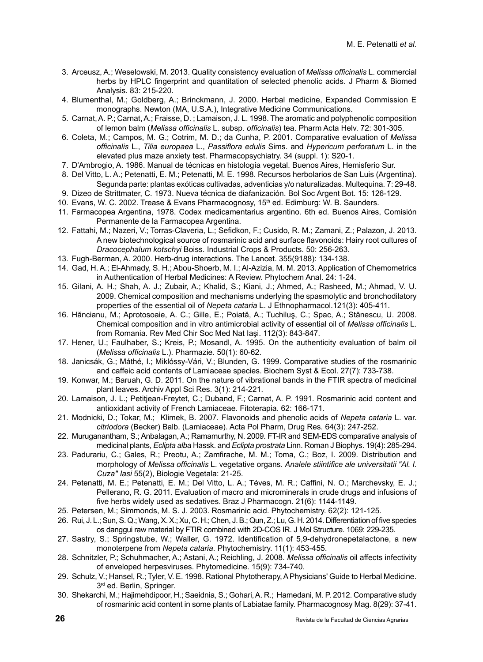- 3. Arceusz, A.; Weselowski, M. 2013. Quality consistency evaluation of *Melissa officinalis* L. commercial herbs by HPLC fingerprint and quantitation of selected phenolic acids. J Pharm & Biomed Analysis*.* 83: 215-220.
- 4. Blumenthal, M.; Goldberg, A.; Brinckmann, J. 2000. Herbal medicine, Expanded Commission E monographs. Newton (MA, U.S.A.), Integrative Medicine Communications.
- 5. Carnat, A. P.; Carnat, A.; Fraisse, D. ; Lamaison, J. L. 1998. The aromatic and polyphenolic composition of lemon balm (*Melissa officinalis* L. subsp. *officinalis*) tea. Pharm Acta Helv. 72: 301-305.
- 6. Coleta, M.; Campos, M. G.; Cotrim, M. D.; da Cunha, P. 2001. Comparative evaluation of *Melissa officinalis* L., *Tilia europaea* L., *Passiflora edulis* Sims. and *Hypericum perforatum* L. in the elevated plus maze anxiety test. Pharmacopsychiatry. 34 (suppl. 1): S20-1.
- 7. D'Ambrogio, A. 1986. Manual de técnicas en histología vegetal. Buenos Aires, Hemisferio Sur.
- 8. Del Vitto, L. A.; Petenatti, E. M.; Petenatti, M. E. 1998. Recursos herbolarios de San Luis (Argentina). Segunda parte: plantas exóticas cultivadas, adventicias y/o naturalizadas. Multequina*.* 7: 29-48.
- 9. Dizeo de Strittmater, C. 1973. Nueva técnica de diafanización. Bol Soc Argent Bot. 15: 126-129.
- 10. Evans, W. C. 2002. Trease & Evans Pharmacognosy, 15<sup>th</sup> ed. Edimburg: W. B. Saunders.
- 11. Farmacopea Argentina, 1978. Codex medicamentarius argentino. 6th ed. Buenos Aires, Comisión Permanente de la Farmacopea Argentina.
- 12. Fattahi, M.; Nazeri, V.; Torras-Claveria, L.; Sefidkon, F.; Cusido, R. M.; Zamani, Z.; Palazon, J. 2013. A new biotechnological source of rosmarinic acid and surface flavonoids: Hairy root cultures of *Dracocephalum kotschyi* Boiss. Industrial Crops & Products. 50: 256-263.
- 13. Fugh-Berman, A. 2000. Herb-drug interactions. The Lancet. 355(9188): 134-138.
- 14. Gad, H. A.; El-Ahmady, S. H.; Abou-Shoerb, M. I.; Al-Azizia, M. M. 2013. Application of Chemometrics in Authentication of Herbal Medicines: A Review. Phytochem Anal. 24: 1-24.
- 15. Gilani, A. H.; Shah, A. J.; Zubair, A.; Khalid, S.; Kiani, J.; Ahmed, A.; Rasheed, M.; Ahmad, V. U. 2009. Chemical composition and mechanisms underlying the spasmolytic and bronchodilatory properties of the essential oil of *Nepeta cataria* L. J Ethnopharmacol.121(3): 405-411.
- 16. Hăncianu, M.; Aprotosoaie, A. C.; Gille, E.; Poiată, A.; Tuchiluş, C.; Spac, A.; Stănescu, U. 2008. Chemical composition and in vitro antimicrobial activity of essential oil of *Melissa officinalis* L. from Romania. Rev Med Chir Soc Med Nat Iaşi. 112(3): 843-847.
- 17. Hener, U.; Faulhaber, S.; Kreis, P.; Mosandl, A. 1995. On the authenticity evaluation of balm oil (*Melissa officinalis* L.). Pharmazie. 50(1): 60-62.
- 18. Janicsák, G.; Máthé, I.; Miklóssy-Vári, V.; Blunden, G. 1999. Comparative studies of the rosmarinic and caffeic acid contents of Lamiaceae species. Biochem Syst & Ecol. 27(7): 733-738.
- 19. Konwar, M.; Baruah, G. D. 2011. On the nature of vibrational bands in the FTIR spectra of medicinal plant leaves. Archiv Appl Sci Res. 3(1): 214-221.
- 20. Lamaison, J. L.; Petitjean-Freytet, C.; Duband, F.; Carnat, A. P. 1991. Rosmarinic acid content and antioxidant activity of French Lamiaceae. Fitoterapia. 62: 166-171.
- 21. Modnicki, D.; Tokar, M.; Klimek, B. 2007. Flavonoids and phenolic acids of *Nepeta cataria* L. var. *citriodora* (Becker) Balb. (Lamiaceae). Acta Pol Pharm, Drug Res. 64(3): 247-252.
- 22. Muruganantham, S.; Anbalagan, A.; Ramamurthy, N. 2009. FT-IR and SEM-EDS comparative analysis of medicinal plants, *Eclipta alba* Hassk. and *Eclipta prostrata* Linn. Roman J Biophys. 19(4): 285-294.
- 23. Padurariu, C.; Gales, R.; Preotu, A.; Zamfirache, M. M.; Toma, C.; Boz, I. 2009. Distribution and morphology of *Melissa officinalis* L. vegetative organs. *Analele stiintifice ale universitatii "Al. I. Cuza" Iasi* 55(2), Biologie Vegetala: 21-25.
- 24. Petenatti, M. E.; Petenatti, E. M.; Del Vitto, L. A.; Téves, M. R.; Caffini, N. O.; Marchevsky, E. J.; Pellerano, R. G. 2011. Evaluation of macro and microminerals in crude drugs and infusions of five herbs widely used as sedatives. Braz J Pharmacogn. 21(6): 1144-1149.
- 25. Petersen, M.; Simmonds, M. S. J. 2003. Rosmarinic acid. Phytochemistry. 62(2): 121-125.
- 26. Rui, J. L.; Sun, S. Q.; Wang, X. X.; Xu, C. H.; Chen, J. B.; Qun, Z.; Lu, G. H. 2014. Differentiation of five species os danggui raw material by FTIR combined with 2D-COS IR. J Mol Structure. 1069: 229-235.
- 27. Sastry, S.; Springstube, W.; Waller, G. 1972. Identification of 5,9-dehydronepetalactone, a new monoterpene from *Nepeta cataria*. Phytochemistry. 11(1): 453-455.
- 28. Schnitzler, P.; Schuhmacher, A.; Astani, A.; Reichling, J. 2008. *Melissa officinalis* oil affects infectivity of enveloped herpesviruses. Phytomedicine. 15(9): 734-740.
- 29. Schulz, V.; Hansel, R.; Tyler, V. E. 1998. Rational Phytotherapy, A Physicians' Guide to Herbal Medicine. 3rd ed. Berlin, Springer.
- 30. Shekarchi, M.; Hajimehdipoor, H.; Saeidnia, S.; Gohari, A. R.; Hamedani, M. P. 2012. Comparative study of rosmarinic acid content in some plants of Labiatae family. Pharmacognosy Mag. 8(29): 37-41.